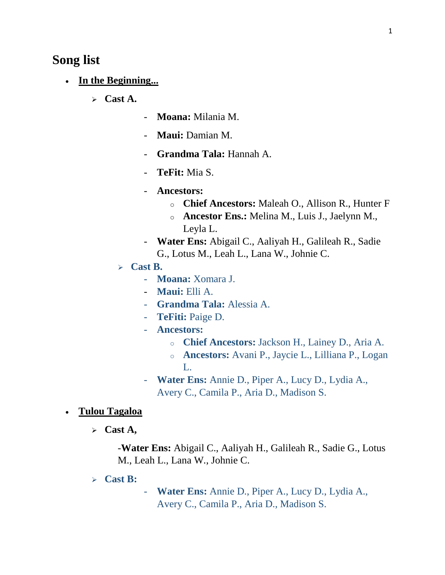# **Song list**

- **In the Beginning...**
	- **Cast A.**
- **Moana:** Milania M.
- **Maui:** Damian M.
- **Grandma Tala:** Hannah A.
- **TeFit:** Mia S.
- **Ancestors:** 
	- o **Chief Ancestors:** Maleah O., Allison R., Hunter F
	- o **Ancestor Ens.:** Melina M., Luis J., Jaelynn M., Leyla L.
- **Water Ens:** Abigail C., Aaliyah H., Galileah R., Sadie G., Lotus M., Leah L., Lana W., Johnie C.
- **Cast B.**
	- **Moana:** Xomara J.
	- **Maui:** Elli A.
	- **Grandma Tala:** Alessia A.
	- **TeFiti:** Paige D.
	- **Ancestors:**
		- o **Chief Ancestors:** Jackson H., Lainey D., Aria A.
		- o **Ancestors:** Avani P., Jaycie L., Lilliana P., Logan L.
	- **Water Ens:** Annie D., Piper A., Lucy D., Lydia A., Avery C., Camila P., Aria D., Madison S.
- **Tulou Tagaloa**
	- **Cast A,**

-**Water Ens:** Abigail C., Aaliyah H., Galileah R., Sadie G., Lotus M., Leah L., Lana W., Johnie C.

- **Cast B:**
- **Water Ens:** Annie D., Piper A., Lucy D., Lydia A., Avery C., Camila P., Aria D., Madison S.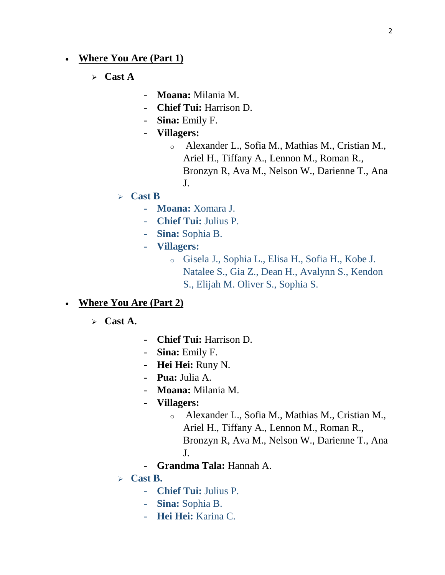# **Where You Are (Part 1)**

**Cast A**

- **Moana:** Milania M.
- **Chief Tui:** Harrison D.
- **Sina:** Emily F.
- **Villagers:**
	- o Alexander L., Sofia M., Mathias M., Cristian M., Ariel H., Tiffany A., Lennon M., Roman R., Bronzyn R, Ava M., Nelson W., Darienne T., Ana J.
- **Cast B**
	- **Moana:** Xomara J.
	- **Chief Tui:** Julius P.
	- **Sina:** Sophia B.
	- **Villagers:**
		- o Gisela J., Sophia L., Elisa H., Sofia H., Kobe J. Natalee S., Gia Z., Dean H., Avalynn S., Kendon S., Elijah M. Oliver S., Sophia S.

#### **Where You Are (Part 2)**

- **Cast A.**
- **Chief Tui:** Harrison D.
- **Sina:** Emily F.
- **Hei Hei:** Runy N.
- **Pua:** Julia A.
- **Moana:** Milania M.
- **Villagers:**
	- o Alexander L., Sofia M., Mathias M., Cristian M., Ariel H., Tiffany A., Lennon M., Roman R., Bronzyn R, Ava M., Nelson W., Darienne T., Ana J.
- **Grandma Tala:** Hannah A.
- **Cast B.**
	- **Chief Tui:** Julius P.
	- **Sina:** Sophia B.
	- **Hei Hei:** Karina C.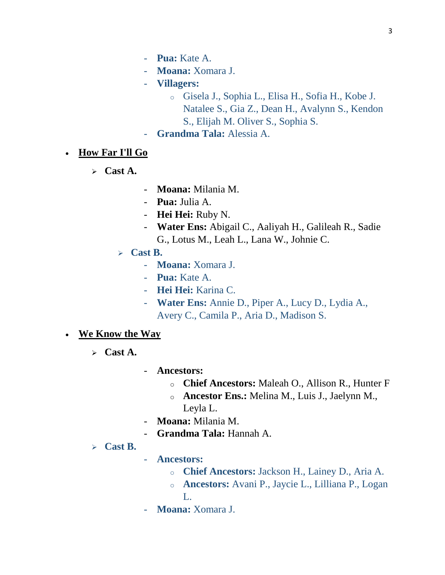- **Pua:** Kate A.
- **Moana:** Xomara J.
- **Villagers:**
	- o Gisela J., Sophia L., Elisa H., Sofia H., Kobe J. Natalee S., Gia Z., Dean H., Avalynn S., Kendon S., Elijah M. Oliver S., Sophia S.
- **Grandma Tala:** Alessia A.
- **How Far I'll Go**
	- **Cast A.**
- **Moana:** Milania M.
- **Pua:** Julia A.
- **Hei Hei:** Ruby N.
- **Water Ens:** Abigail C., Aaliyah H., Galileah R., Sadie G., Lotus M., Leah L., Lana W., Johnie C.
- **Cast B.**
	- **Moana:** Xomara J.
	- **Pua:** Kate A.
	- **Hei Hei:** Karina C.
	- **Water Ens:** Annie D., Piper A., Lucy D., Lydia A., Avery C., Camila P., Aria D., Madison S.
- **We Know the Way** 
	- **Cast A.**
- **Ancestors:** 
	- o **Chief Ancestors:** Maleah O., Allison R., Hunter F
	- o **Ancestor Ens.:** Melina M., Luis J., Jaelynn M., Leyla L.
- **Moana:** Milania M.
- **Grandma Tala:** Hannah A.
- **Cast B.**
- **Ancestors:**
	- o **Chief Ancestors:** Jackson H., Lainey D., Aria A.
	- o **Ancestors:** Avani P., Jaycie L., Lilliana P., Logan L.
- **Moana:** Xomara J.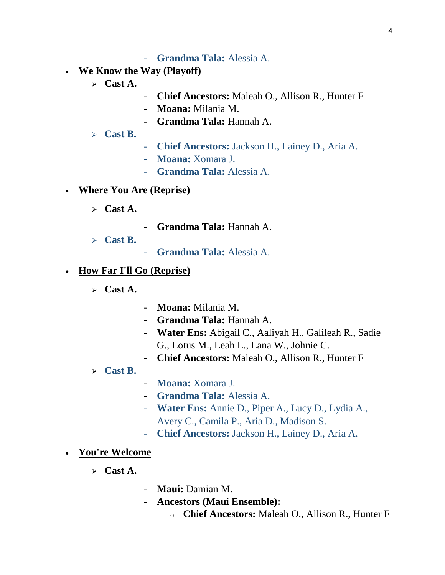- **Grandma Tala:** Alessia A.
- **We Know the Way (Playoff)**
	- **Cast A.**
- **Chief Ancestors:** Maleah O., Allison R., Hunter F
- **Moana:** Milania M.
- **Grandma Tala:** Hannah A.
- **Cast B.**
- **Chief Ancestors:** Jackson H., Lainey D., Aria A.
- **Moana:** Xomara J.
- **Grandma Tala:** Alessia A.

#### **Where You Are (Reprise)**

- $\triangleright$  **Cast A.**
- **Grandma Tala:** Hannah A.
- **Cast B.**
- **Grandma Tala:** Alessia A.

#### **How Far I'll Go (Reprise)**

- $\triangleright$  **Cast A.**
- **Moana:** Milania M.
- **Grandma Tala:** Hannah A.
- **Water Ens:** Abigail C., Aaliyah H., Galileah R., Sadie G., Lotus M., Leah L., Lana W., Johnie C.
- **Chief Ancestors:** Maleah O., Allison R., Hunter F
- **Cast B.**
- **Moana:** Xomara J.
- **Grandma Tala:** Alessia A.
- **Water Ens:** Annie D., Piper A., Lucy D., Lydia A., Avery C., Camila P., Aria D., Madison S.
- **Chief Ancestors:** Jackson H., Lainey D., Aria A.

#### **You're Welcome**

- **Cast A.**
- **Maui:** Damian M.
- **Ancestors (Maui Ensemble):**
	- o **Chief Ancestors:** Maleah O., Allison R., Hunter F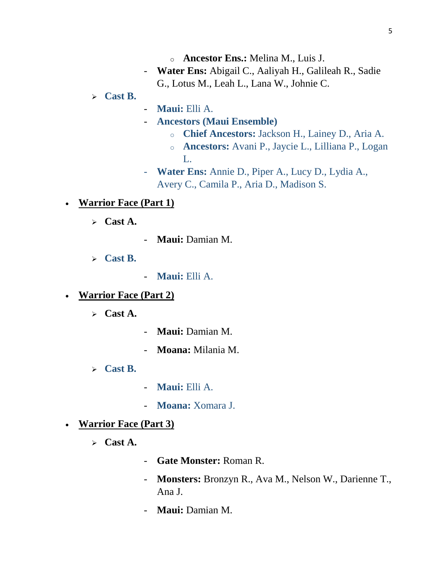- o **Ancestor Ens.:** Melina M., Luis J.
- **Water Ens:** Abigail C., Aaliyah H., Galileah R., Sadie G., Lotus M., Leah L., Lana W., Johnie C.

# **Cast B.**

- **Maui:** Elli A.
- **Ancestors (Maui Ensemble)**
	- o **Chief Ancestors:** Jackson H., Lainey D., Aria A.
	- o **Ancestors:** Avani P., Jaycie L., Lilliana P., Logan L.
- **Water Ens:** Annie D., Piper A., Lucy D., Lydia A., Avery C., Camila P., Aria D., Madison S.

# **Warrior Face (Part 1)**

- **Cast A.**
- **Maui:** Damian M.
- **Cast B.**
- **Maui:** Elli A.
- **Warrior Face (Part 2)**
	- **Cast A.**
- **Maui:** Damian M.
- **Moana:** Milania M.
- **Cast B.**
- **Maui:** Elli A.
- **Moana:** Xomara J.
- **Warrior Face (Part 3)**
	- **Cast A.**
- **Gate Monster:** Roman R.
- **Monsters:** Bronzyn R., Ava M., Nelson W., Darienne T., Ana J.
- **Maui:** Damian M.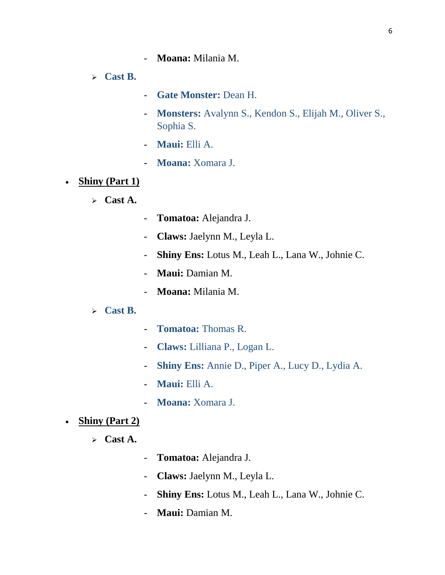- **Moana:** Milania M.

**Cast B.**

- **Gate Monster:** Dean H.
- **Monsters:** Avalynn S., Kendon S., Elijah M., Oliver S., Sophia S.
- **Maui:** Elli A.
- **Moana:** Xomara J.
- Shiny (Part 1)
	- **Cast A.**
- **Tomatoa:** Alejandra J.
- **Claws:** Jaelynn M., Leyla L.
- **Shiny Ens:** Lotus M., Leah L., Lana W., Johnie C.
- **Maui:** Damian M.
- **Moana:** Milania M.
- **Cast B.**
- **Tomatoa:** Thomas R.
- **Claws:** Lilliana P., Logan L.
- **Shiny Ens:** Annie D., Piper A., Lucy D., Lydia A.
- **Maui:** Elli A.
- **Moana:** Xomara J.
- **Shiny (Part 2)** 
	- **Cast A.**
- **Tomatoa:** Alejandra J.
- **Claws:** Jaelynn M., Leyla L.
- **Shiny Ens:** Lotus M., Leah L., Lana W., Johnie C.
- **Maui:** Damian M.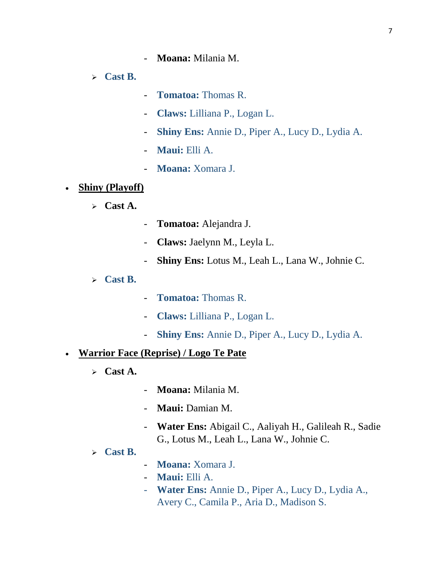**Cast B.**

- **Tomatoa:** Thomas R.
- **Claws:** Lilliana P., Logan L.
- **Shiny Ens:** Annie D., Piper A., Lucy D., Lydia A.
- **Maui:** Elli A.
- **Moana:** Xomara J.
- **Shiny (Playoff)**
	- **Cast A.**
- **Tomatoa:** Alejandra J.
- **Claws:** Jaelynn M., Leyla L.
- **Shiny Ens:** Lotus M., Leah L., Lana W., Johnie C.
- **Cast B.**
- **Tomatoa:** Thomas R.
- **Claws:** Lilliana P., Logan L.
- **Shiny Ens:** Annie D., Piper A., Lucy D., Lydia A.

#### **Warrior Face (Reprise) / Logo Te Pate**

- **Cast A.**
- **Moana:** Milania M.
- **Maui:** Damian M.
- **Water Ens:** Abigail C., Aaliyah H., Galileah R., Sadie G., Lotus M., Leah L., Lana W., Johnie C.
- **Cast B.**
- **Moana:** Xomara J.
- **Maui:** Elli A.
- **Water Ens:** Annie D., Piper A., Lucy D., Lydia A., Avery C., Camila P., Aria D., Madison S.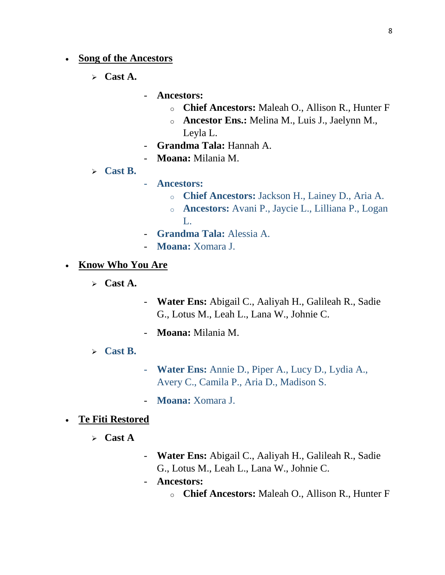- **Song of the Ancestors**
	- **Cast A.**
- **Ancestors:** 
	- o **Chief Ancestors:** Maleah O., Allison R., Hunter F
	- o **Ancestor Ens.:** Melina M., Luis J., Jaelynn M., Leyla L.
- **Grandma Tala:** Hannah A.
- **Moana:** Milania M.
- **Cast B.**
- **Ancestors:**
	- o **Chief Ancestors:** Jackson H., Lainey D., Aria A.
	- o **Ancestors:** Avani P., Jaycie L., Lilliana P., Logan  $L$
- **Grandma Tala:** Alessia A.
- **Moana:** Xomara J.
- **Know Who You Are**
	- **Cast A.**
- **Water Ens:** Abigail C., Aaliyah H., Galileah R., Sadie G., Lotus M., Leah L., Lana W., Johnie C.
- **Moana:** Milania M.
- **Cast B.**
- **Water Ens:** Annie D., Piper A., Lucy D., Lydia A., Avery C., Camila P., Aria D., Madison S.
- **Moana:** Xomara J.

#### **Te Fiti Restored**

- **Cast A**
- **Water Ens:** Abigail C., Aaliyah H., Galileah R., Sadie G., Lotus M., Leah L., Lana W., Johnie C.
- **Ancestors:** 
	- o **Chief Ancestors:** Maleah O., Allison R., Hunter F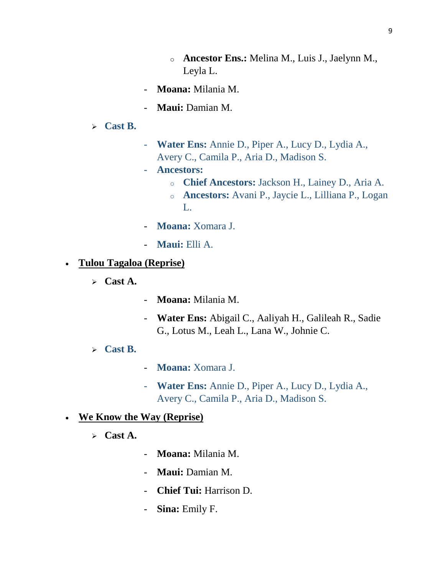- o **Ancestor Ens.:** Melina M., Luis J., Jaelynn M., Leyla L.
- **Moana:** Milania M.
- **Maui:** Damian M.
- **Cast B.**
- **Water Ens:** Annie D., Piper A., Lucy D., Lydia A., Avery C., Camila P., Aria D., Madison S.
- **Ancestors:**
	- o **Chief Ancestors:** Jackson H., Lainey D., Aria A.
	- o **Ancestors:** Avani P., Jaycie L., Lilliana P., Logan L.
- **Moana:** Xomara J.
- **Maui:** Elli A.

# **Tulou Tagaloa (Reprise)**

- **Cast A.**
- **Moana:** Milania M.
- **Water Ens:** Abigail C., Aaliyah H., Galileah R., Sadie G., Lotus M., Leah L., Lana W., Johnie C.
- **Cast B.**
- **Moana:** Xomara J.
- **Water Ens:** Annie D., Piper A., Lucy D., Lydia A., Avery C., Camila P., Aria D., Madison S.

# **We Know the Way (Reprise)**

- **Cast A.**
- **Moana:** Milania M.
- **Maui:** Damian M.
- **Chief Tui:** Harrison D.
- **Sina:** Emily F.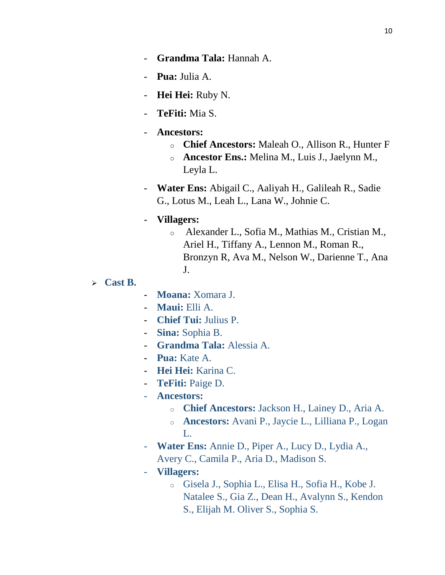- **Pua:** Julia A.
- **Hei Hei:** Ruby N.
- **TeFiti:** Mia S.

### - **Ancestors:**

- o **Chief Ancestors:** Maleah O., Allison R., Hunter F
- o **Ancestor Ens.:** Melina M., Luis J., Jaelynn M., Leyla L.
- **Water Ens:** Abigail C., Aaliyah H., Galileah R., Sadie G., Lotus M., Leah L., Lana W., Johnie C.

### - **Villagers:**

- o Alexander L., Sofia M., Mathias M., Cristian M., Ariel H., Tiffany A., Lennon M., Roman R., Bronzyn R, Ava M., Nelson W., Darienne T., Ana J.
- **Cast B.**
- **Moana:** Xomara J.
- **Maui:** Elli A.
- **Chief Tui:** Julius P.
- **Sina:** Sophia B.
- **Grandma Tala:** Alessia A.
- **Pua:** Kate A.
- **Hei Hei:** Karina C.
- **TeFiti:** Paige D.
- **Ancestors:**
	- o **Chief Ancestors:** Jackson H., Lainey D., Aria A.
	- o **Ancestors:** Avani P., Jaycie L., Lilliana P., Logan L.
- **Water Ens:** Annie D., Piper A., Lucy D., Lydia A., Avery C., Camila P., Aria D., Madison S.
- **Villagers:**
	- o Gisela J., Sophia L., Elisa H., Sofia H., Kobe J. Natalee S., Gia Z., Dean H., Avalynn S., Kendon S., Elijah M. Oliver S., Sophia S.